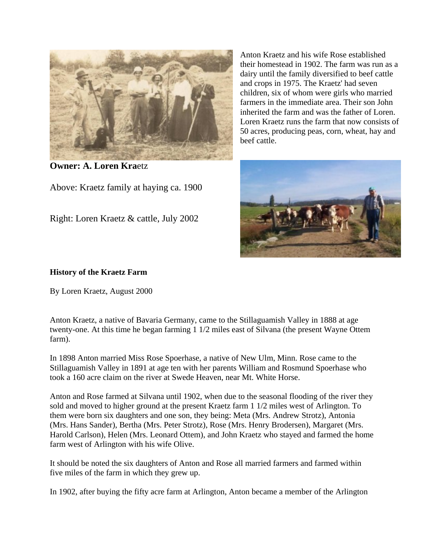

**Owner: A. Loren Kra**etz

Above: Kraetz family at haying ca. 1900

Right: Loren Kraetz & cattle, July 2002

Anton Kraetz and his wife Rose established their homestead in 1902. The farm was run as a dairy until the family diversified to beef cattle and crops in 1975. The Kraetz' had seven children, six of whom were girls who married farmers in the immediate area. Their son John inherited the farm and was the father of Loren. Loren Kraetz runs the farm that now consists of 50 acres, producing peas, corn, wheat, hay and beef cattle.



## **History of the Kraetz Farm**

By Loren Kraetz, August 2000

Anton Kraetz, a native of Bavaria Germany, came to the Stillaguamish Valley in 1888 at age twenty-one. At this time he began farming 1 1/2 miles east of Silvana (the present Wayne Ottem farm).

In 1898 Anton married Miss Rose Spoerhase, a native of New Ulm, Minn. Rose came to the Stillaguamish Valley in 1891 at age ten with her parents William and Rosmund Spoerhase who took a 160 acre claim on the river at Swede Heaven, near Mt. White Horse.

Anton and Rose farmed at Silvana until 1902, when due to the seasonal flooding of the river they sold and moved to higher ground at the present Kraetz farm 1 1/2 miles west of Arlington. To them were born six daughters and one son, they being: Meta (Mrs. Andrew Strotz), Antonia (Mrs. Hans Sander), Bertha (Mrs. Peter Strotz), Rose (Mrs. Henry Brodersen), Margaret (Mrs. Harold Carlson), Helen (Mrs. Leonard Ottem), and John Kraetz who stayed and farmed the home farm west of Arlington with his wife Olive.

It should be noted the six daughters of Anton and Rose all married farmers and farmed within five miles of the farm in which they grew up.

In 1902, after buying the fifty acre farm at Arlington, Anton became a member of the Arlington